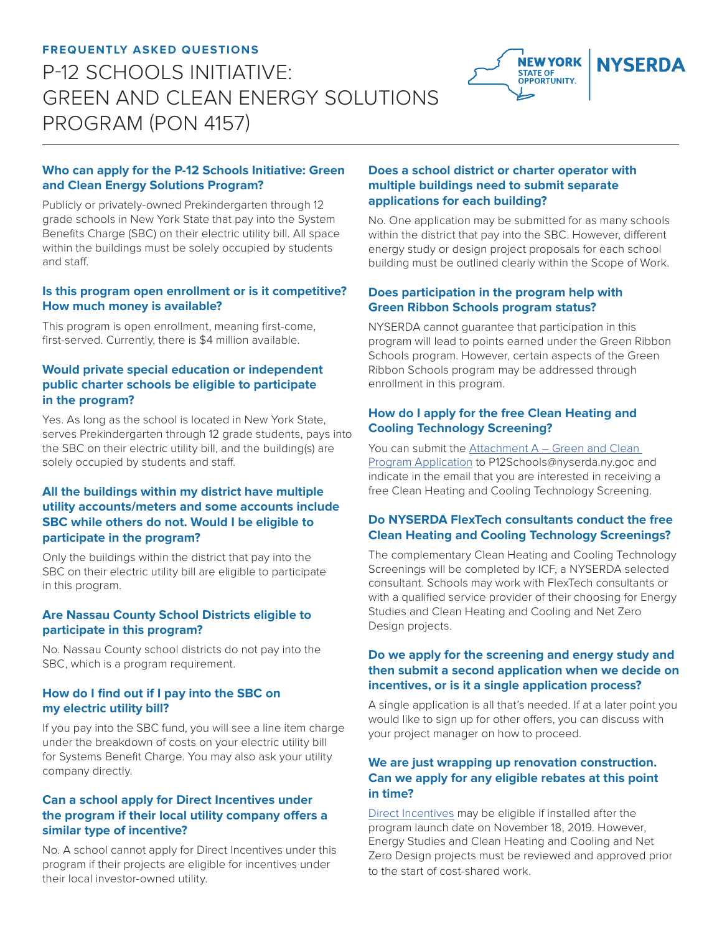#### **FREQUENTLY ASKED QUESTIONS**

# P-12 SCHOOLS INITIATIVE: GREEN AND CLEAN ENERGY SOLUTIONS PROGRAM (PON 4157)



# **Who can apply for the P-12 Schools Initiative: Green and Clean Energy Solutions Program?**

Publicly or privately-owned Prekindergarten through 12 grade schools in New York State that pay into the System Benefits Charge (SBC) on their electric utility bill. All space within the buildings must be solely occupied by students and staff.

#### **Is this program open enrollment or is it competitive? How much money is available?**

This program is open enrollment, meaning first-come, first-served. Currently, there is \$4 million available.

#### **Would private special education or independent public charter schools be eligible to participate in the program?**

Yes. As long as the school is located in New York State, serves Prekindergarten through 12 grade students, pays into the SBC on their electric utility bill, and the building(s) are solely occupied by students and staff.

## **All the buildings within my district have multiple utility accounts/meters and some accounts include SBC while others do not. Would I be eligible to participate in the program?**

Only the buildings within the district that pay into the SBC on their electric utility bill are eligible to participate in this program.

#### **Are Nassau County School Districts eligible to participate in this program?**

No. Nassau County school districts do not pay into the SBC, which is a program requirement.

#### **How do I find out if I pay into the SBC on my electric utility bill?**

If you pay into the SBC fund, you will see a line item charge under the breakdown of costs on your electric utility bill for Systems Benefit Charge. You may also ask your utility company directly.

## **Can a school apply for Direct Incentives under the program if their local utility company offers a similar type of incentive?**

No. A school cannot apply for Direct Incentives under this program if their projects are eligible for incentives under their local investor-owned utility.

## **Does a school district or charter operator with multiple buildings need to submit separate applications for each building?**

No. One application may be submitted for as many schools within the district that pay into the SBC. However, different energy study or design project proposals for each school building must be outlined clearly within the Scope of Work.

# **Does participation in the program help with Green Ribbon Schools program status?**

NYSERDA cannot guarantee that participation in this program will lead to points earned under the Green Ribbon Schools program. However, certain aspects of the Green Ribbon Schools program may be addressed through enrollment in this program.

## **How do I apply for the free Clean Heating and Cooling Technology Screening?**

You can submit the Attachment A - Green and Clean [Program Application](https://www.nyserda.ny.gov/All-Programs/Programs/P-12-Green-and-Clean-Energy-Solutions/Green-and-Clean-Energy-Solutions-Resources) to P12Schools@nyserda.ny.goc and indicate in the email that you are interested in receiving a free Clean Heating and Cooling Technology Screening.

# **Do NYSERDA FlexTech consultants conduct the free Clean Heating and Cooling Technology Screenings?**

The complementary Clean Heating and Cooling Technology Screenings will be completed by ICF, a NYSERDA selected consultant. Schools may work with FlexTech consultants or with a qualified service provider of their choosing for Energy Studies and Clean Heating and Cooling and Net Zero Design projects.

## **Do we apply for the screening and energy study and then submit a second application when we decide on incentives, or is it a single application process?**

A single application is all that's needed. If at a later point you would like to sign up for other offers, you can discuss with your project manager on how to proceed.

# **We are just wrapping up renovation construction. Can we apply for any eligible rebates at this point in time?**

[Direct Incentives](https://www.nyserda.ny.gov/All-Programs/Programs/P-12-Green-and-Clean-Energy-Solutions/Green-and-Clean-Energy-Solutions-Resources) may be eligible if installed after the program launch date on November 18, 2019. However, Energy Studies and Clean Heating and Cooling and Net Zero Design projects must be reviewed and approved prior to the start of cost-shared work.